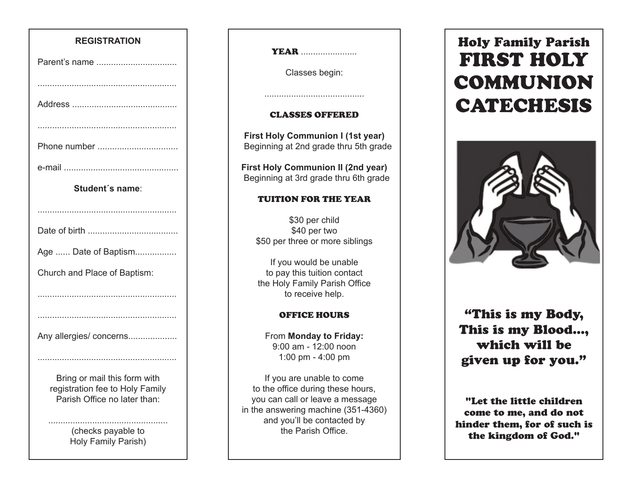## **REGISTRATION**

| Parent's name                                                                                   |
|-------------------------------------------------------------------------------------------------|
|                                                                                                 |
|                                                                                                 |
|                                                                                                 |
| Phone number                                                                                    |
|                                                                                                 |
| Student's name:                                                                                 |
|                                                                                                 |
|                                                                                                 |
| Age  Date of Baptism                                                                            |
| Church and Place of Baptism:                                                                    |
|                                                                                                 |
|                                                                                                 |
| Any allergies/ concerns                                                                         |
|                                                                                                 |
| Bring or mail this form with<br>registration fee to Holy Family<br>Parish Office no later than: |
| الملامين<br>د الما                                                                              |

(checks payable to Holy Family Parish) **YEAR** ..........................

Classes begin:

#### CLASSES OFFERED

.........................................

**First Holy Communion I (1st year)** Beginning at 2nd grade thru 5th grade

**First Holy Communion II (2nd year)** Beginning at 3rd grade thru 6th grade

## TUITION FOR THE YEAR

\$30 per child \$40 per two \$50 per three or more siblings

If you would be unable to pay this tuition contact the Holy Family Parish Office to receive help.

#### OFFICE HOURS

From **Monday to Friday:** 9:00 am - 12:00 noon 1:00 pm - 4:00 pm

If you are unable to come to the office during these hours, you can call or leave a message in the answering machine (351-4360) and you'll be contacted by the Parish Office.

# Holy Family Parish FIRST HOLY COMMUNION CATECHESIS



"This is my Body, This is my Blood..., which will be given up for you."

"Let the little children come to me, and do not hinder them, for of such is the kingdom of God."